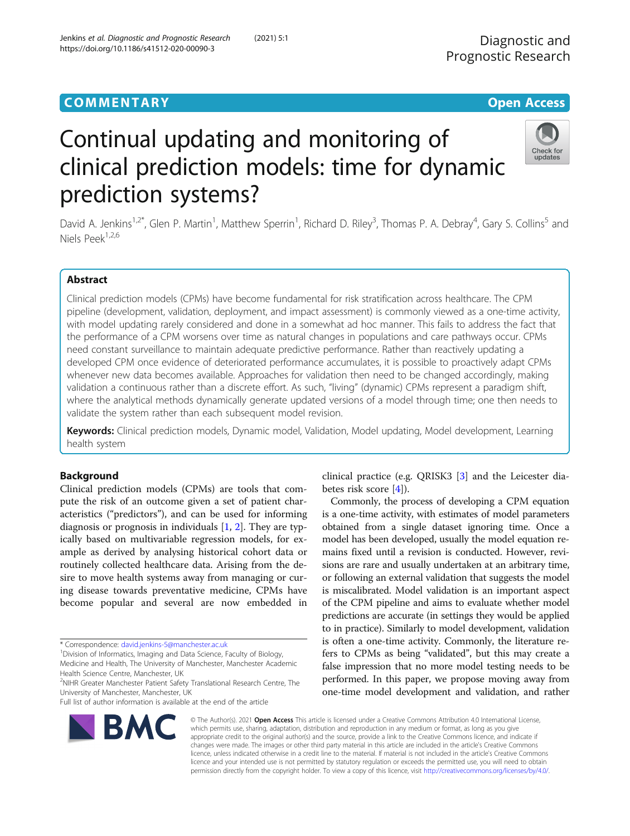# **COMMENTARY COMMENTARY Open Access**





David A. Jenkins<sup>1,2\*</sup>, Glen P. Martin<sup>1</sup>, Matthew Sperrin<sup>1</sup>, Richard D. Riley<sup>3</sup>, Thomas P. A. Debray<sup>4</sup>, Gary S. Collins<sup>5</sup> and Niels Peek1,2,6

## Abstract

Clinical prediction models (CPMs) have become fundamental for risk stratification across healthcare. The CPM pipeline (development, validation, deployment, and impact assessment) is commonly viewed as a one-time activity, with model updating rarely considered and done in a somewhat ad hoc manner. This fails to address the fact that the performance of a CPM worsens over time as natural changes in populations and care pathways occur. CPMs need constant surveillance to maintain adequate predictive performance. Rather than reactively updating a developed CPM once evidence of deteriorated performance accumulates, it is possible to proactively adapt CPMs whenever new data becomes available. Approaches for validation then need to be changed accordingly, making validation a continuous rather than a discrete effort. As such, "living" (dynamic) CPMs represent a paradigm shift, where the analytical methods dynamically generate updated versions of a model through time; one then needs to validate the system rather than each subsequent model revision.

Keywords: Clinical prediction models, Dynamic model, Validation, Model updating, Model development, Learning health system

## Background

Clinical prediction models (CPMs) are tools that compute the risk of an outcome given a set of patient characteristics ("predictors"), and can be used for informing diagnosis or prognosis in individuals [\[1](#page-5-0), [2\]](#page-5-0). They are typically based on multivariable regression models, for example as derived by analysing historical cohort data or routinely collected healthcare data. Arising from the desire to move health systems away from managing or curing disease towards preventative medicine, CPMs have become popular and several are now embedded in

Full list of author information is available at the end of the article



clinical practice (e.g. QRISK3 [[3\]](#page-5-0) and the Leicester diabetes risk score [[4\]](#page-5-0)).

Commonly, the process of developing a CPM equation is a one-time activity, with estimates of model parameters obtained from a single dataset ignoring time. Once a model has been developed, usually the model equation remains fixed until a revision is conducted. However, revisions are rare and usually undertaken at an arbitrary time, or following an external validation that suggests the model is miscalibrated. Model validation is an important aspect of the CPM pipeline and aims to evaluate whether model predictions are accurate (in settings they would be applied to in practice). Similarly to model development, validation is often a one-time activity. Commonly, the literature refers to CPMs as being "validated", but this may create a false impression that no more model testing needs to be performed. In this paper, we propose moving away from one-time model development and validation, and rather

© The Author(s). 2021 Open Access This article is licensed under a Creative Commons Attribution 4.0 International License, which permits use, sharing, adaptation, distribution and reproduction in any medium or format, as long as you give appropriate credit to the original author(s) and the source, provide a link to the Creative Commons licence, and indicate if changes were made. The images or other third party material in this article are included in the article's Creative Commons licence, unless indicated otherwise in a credit line to the material. If material is not included in the article's Creative Commons licence and your intended use is not permitted by statutory regulation or exceeds the permitted use, you will need to obtain permission directly from the copyright holder. To view a copy of this licence, visit [http://creativecommons.org/licenses/by/4.0/.](http://creativecommons.org/licenses/by/4.0/)

<sup>\*</sup> Correspondence: [david.jenkins-5@manchester.ac.uk](mailto:david.jenkins-5@manchester.ac.uk) <sup>1</sup>

<sup>&</sup>lt;sup>1</sup> Division of Informatics, Imaging and Data Science, Faculty of Biology,

Medicine and Health, The University of Manchester, Manchester Academic Health Science Centre, Manchester, UK

<sup>&</sup>lt;sup>2</sup>NIHR Greater Manchester Patient Safety Translational Research Centre, The University of Manchester, Manchester, UK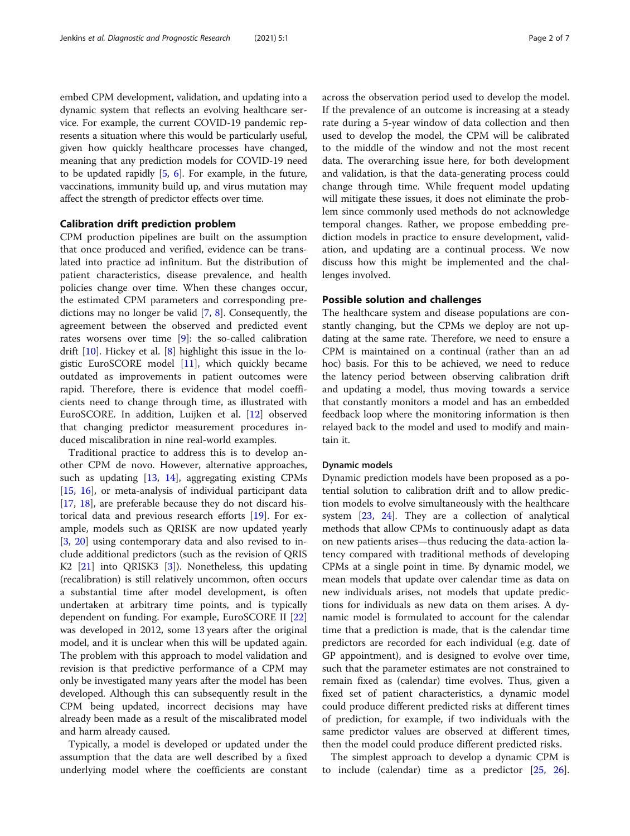embed CPM development, validation, and updating into a dynamic system that reflects an evolving healthcare service. For example, the current COVID-19 pandemic represents a situation where this would be particularly useful, given how quickly healthcare processes have changed, meaning that any prediction models for COVID-19 need to be updated rapidly [\[5](#page-5-0), [6](#page-5-0)]. For example, in the future, vaccinations, immunity build up, and virus mutation may affect the strength of predictor effects over time.

#### Calibration drift prediction problem

CPM production pipelines are built on the assumption that once produced and verified, evidence can be translated into practice ad infinitum. But the distribution of patient characteristics, disease prevalence, and health policies change over time. When these changes occur, the estimated CPM parameters and corresponding predictions may no longer be valid [[7,](#page-5-0) [8](#page-5-0)]. Consequently, the agreement between the observed and predicted event rates worsens over time [\[9\]](#page-5-0): the so-called calibration drift [[10\]](#page-5-0). Hickey et al. [\[8](#page-5-0)] highlight this issue in the logistic EuroSCORE model [[11\]](#page-5-0), which quickly became outdated as improvements in patient outcomes were rapid. Therefore, there is evidence that model coefficients need to change through time, as illustrated with EuroSCORE. In addition, Luijken et al. [\[12\]](#page-5-0) observed that changing predictor measurement procedures induced miscalibration in nine real-world examples.

Traditional practice to address this is to develop another CPM de novo. However, alternative approaches, such as updating [[13,](#page-5-0) [14\]](#page-5-0), aggregating existing CPMs [[15,](#page-5-0) [16\]](#page-5-0), or meta-analysis of individual participant data [[17,](#page-5-0) [18](#page-5-0)], are preferable because they do not discard historical data and previous research efforts [[19](#page-5-0)]. For example, models such as QRISK are now updated yearly [[3,](#page-5-0) [20\]](#page-5-0) using contemporary data and also revised to include additional predictors (such as the revision of QRIS K2 [[21](#page-5-0)] into QRISK3 [\[3](#page-5-0)]). Nonetheless, this updating (recalibration) is still relatively uncommon, often occurs a substantial time after model development, is often undertaken at arbitrary time points, and is typically dependent on funding. For example, EuroSCORE II [[22](#page-5-0)] was developed in 2012, some 13 years after the original model, and it is unclear when this will be updated again. The problem with this approach to model validation and revision is that predictive performance of a CPM may only be investigated many years after the model has been developed. Although this can subsequently result in the CPM being updated, incorrect decisions may have already been made as a result of the miscalibrated model and harm already caused.

Typically, a model is developed or updated under the assumption that the data are well described by a fixed underlying model where the coefficients are constant across the observation period used to develop the model. If the prevalence of an outcome is increasing at a steady rate during a 5-year window of data collection and then used to develop the model, the CPM will be calibrated to the middle of the window and not the most recent data. The overarching issue here, for both development and validation, is that the data-generating process could change through time. While frequent model updating will mitigate these issues, it does not eliminate the problem since commonly used methods do not acknowledge temporal changes. Rather, we propose embedding prediction models in practice to ensure development, validation, and updating are a continual process. We now discuss how this might be implemented and the challenges involved.

### Possible solution and challenges

The healthcare system and disease populations are constantly changing, but the CPMs we deploy are not updating at the same rate. Therefore, we need to ensure a CPM is maintained on a continual (rather than an ad hoc) basis. For this to be achieved, we need to reduce the latency period between observing calibration drift and updating a model, thus moving towards a service that constantly monitors a model and has an embedded feedback loop where the monitoring information is then relayed back to the model and used to modify and maintain it.

#### Dynamic models

Dynamic prediction models have been proposed as a potential solution to calibration drift and to allow prediction models to evolve simultaneously with the healthcare system [\[23](#page-5-0), [24](#page-5-0)]. They are a collection of analytical methods that allow CPMs to continuously adapt as data on new patients arises—thus reducing the data-action latency compared with traditional methods of developing CPMs at a single point in time. By dynamic model, we mean models that update over calendar time as data on new individuals arises, not models that update predictions for individuals as new data on them arises. A dynamic model is formulated to account for the calendar time that a prediction is made, that is the calendar time predictors are recorded for each individual (e.g. date of GP appointment), and is designed to evolve over time, such that the parameter estimates are not constrained to remain fixed as (calendar) time evolves. Thus, given a fixed set of patient characteristics, a dynamic model could produce different predicted risks at different times of prediction, for example, if two individuals with the same predictor values are observed at different times, then the model could produce different predicted risks.

The simplest approach to develop a dynamic CPM is to include (calendar) time as a predictor [\[25](#page-5-0), [26](#page-6-0)].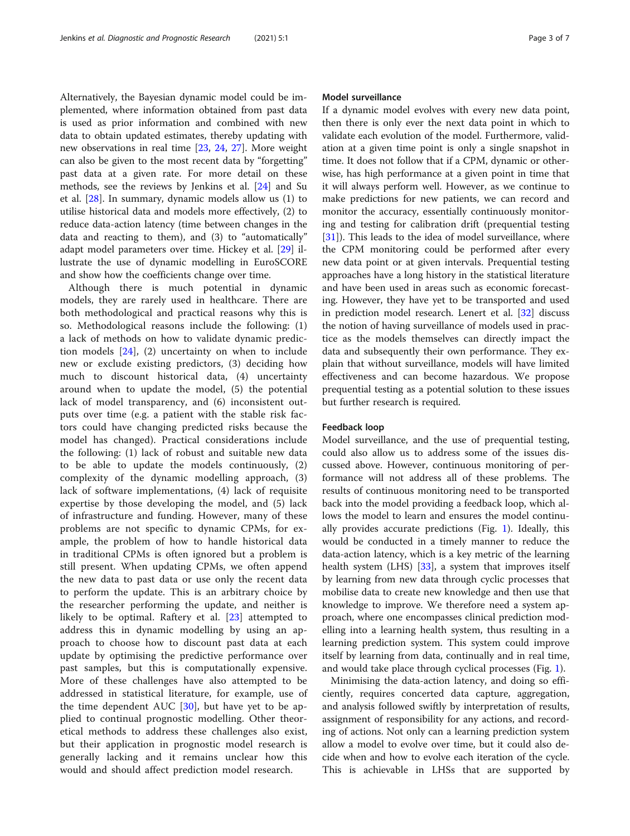Alternatively, the Bayesian dynamic model could be implemented, where information obtained from past data is used as prior information and combined with new data to obtain updated estimates, thereby updating with new observations in real time [\[23](#page-5-0), [24,](#page-5-0) [27\]](#page-6-0). More weight can also be given to the most recent data by "forgetting" past data at a given rate. For more detail on these methods, see the reviews by Jenkins et al. [\[24](#page-5-0)] and Su et al. [[28\]](#page-6-0). In summary, dynamic models allow us (1) to utilise historical data and models more effectively, (2) to reduce data-action latency (time between changes in the data and reacting to them), and (3) to "automatically" adapt model parameters over time. Hickey et al. [\[29](#page-6-0)] illustrate the use of dynamic modelling in EuroSCORE and show how the coefficients change over time.

Although there is much potential in dynamic models, they are rarely used in healthcare. There are both methodological and practical reasons why this is so. Methodological reasons include the following: (1) a lack of methods on how to validate dynamic prediction models [[24\]](#page-5-0), (2) uncertainty on when to include new or exclude existing predictors, (3) deciding how much to discount historical data, (4) uncertainty around when to update the model, (5) the potential lack of model transparency, and (6) inconsistent outputs over time (e.g. a patient with the stable risk factors could have changing predicted risks because the model has changed). Practical considerations include the following: (1) lack of robust and suitable new data to be able to update the models continuously, (2) complexity of the dynamic modelling approach, (3) lack of software implementations, (4) lack of requisite expertise by those developing the model, and (5) lack of infrastructure and funding. However, many of these problems are not specific to dynamic CPMs, for example, the problem of how to handle historical data in traditional CPMs is often ignored but a problem is still present. When updating CPMs, we often append the new data to past data or use only the recent data to perform the update. This is an arbitrary choice by the researcher performing the update, and neither is likely to be optimal. Raftery et al. [[23\]](#page-5-0) attempted to address this in dynamic modelling by using an approach to choose how to discount past data at each update by optimising the predictive performance over past samples, but this is computationally expensive. More of these challenges have also attempted to be addressed in statistical literature, for example, use of the time dependent AUC  $[30]$  $[30]$ , but have yet to be applied to continual prognostic modelling. Other theoretical methods to address these challenges also exist, but their application in prognostic model research is generally lacking and it remains unclear how this would and should affect prediction model research.

## Model surveillance

If a dynamic model evolves with every new data point, then there is only ever the next data point in which to validate each evolution of the model. Furthermore, validation at a given time point is only a single snapshot in time. It does not follow that if a CPM, dynamic or otherwise, has high performance at a given point in time that it will always perform well. However, as we continue to make predictions for new patients, we can record and monitor the accuracy, essentially continuously monitoring and testing for calibration drift (prequential testing [[31\]](#page-6-0)). This leads to the idea of model surveillance, where the CPM monitoring could be performed after every new data point or at given intervals. Prequential testing approaches have a long history in the statistical literature and have been used in areas such as economic forecasting. However, they have yet to be transported and used in prediction model research. Lenert et al. [\[32](#page-6-0)] discuss the notion of having surveillance of models used in practice as the models themselves can directly impact the data and subsequently their own performance. They explain that without surveillance, models will have limited effectiveness and can become hazardous. We propose prequential testing as a potential solution to these issues but further research is required.

## Feedback loop

Model surveillance, and the use of prequential testing, could also allow us to address some of the issues discussed above. However, continuous monitoring of performance will not address all of these problems. The results of continuous monitoring need to be transported back into the model providing a feedback loop, which allows the model to learn and ensures the model continually provides accurate predictions (Fig. [1\)](#page-3-0). Ideally, this would be conducted in a timely manner to reduce the data-action latency, which is a key metric of the learning health system (LHS) [[33\]](#page-6-0), a system that improves itself by learning from new data through cyclic processes that mobilise data to create new knowledge and then use that knowledge to improve. We therefore need a system approach, where one encompasses clinical prediction modelling into a learning health system, thus resulting in a learning prediction system. This system could improve itself by learning from data, continually and in real time, and would take place through cyclical processes (Fig. [1\)](#page-3-0).

Minimising the data-action latency, and doing so efficiently, requires concerted data capture, aggregation, and analysis followed swiftly by interpretation of results, assignment of responsibility for any actions, and recording of actions. Not only can a learning prediction system allow a model to evolve over time, but it could also decide when and how to evolve each iteration of the cycle. This is achievable in LHSs that are supported by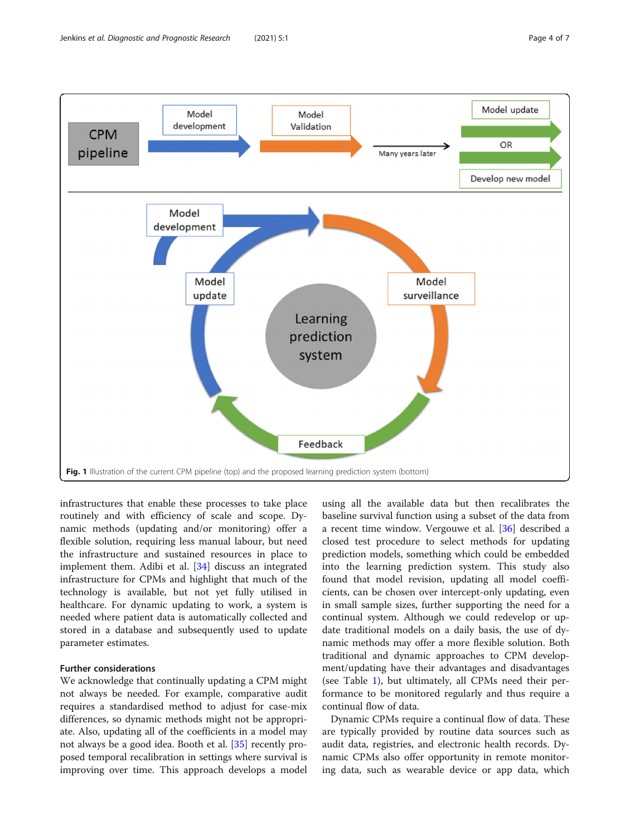<span id="page-3-0"></span>

infrastructures that enable these processes to take place routinely and with efficiency of scale and scope. Dynamic methods (updating and/or monitoring) offer a flexible solution, requiring less manual labour, but need the infrastructure and sustained resources in place to implement them. Adibi et al. [[34\]](#page-6-0) discuss an integrated infrastructure for CPMs and highlight that much of the technology is available, but not yet fully utilised in healthcare. For dynamic updating to work, a system is needed where patient data is automatically collected and stored in a database and subsequently used to update parameter estimates.

## Further considerations

We acknowledge that continually updating a CPM might not always be needed. For example, comparative audit requires a standardised method to adjust for case-mix differences, so dynamic methods might not be appropriate. Also, updating all of the coefficients in a model may not always be a good idea. Booth et al. [\[35](#page-6-0)] recently proposed temporal recalibration in settings where survival is improving over time. This approach develops a model

using all the available data but then recalibrates the baseline survival function using a subset of the data from a recent time window. Vergouwe et al. [[36\]](#page-6-0) described a closed test procedure to select methods for updating prediction models, something which could be embedded into the learning prediction system. This study also found that model revision, updating all model coefficients, can be chosen over intercept-only updating, even in small sample sizes, further supporting the need for a continual system. Although we could redevelop or update traditional models on a daily basis, the use of dynamic methods may offer a more flexible solution. Both traditional and dynamic approaches to CPM development/updating have their advantages and disadvantages (see Table [1\)](#page-4-0), but ultimately, all CPMs need their performance to be monitored regularly and thus require a continual flow of data.

Dynamic CPMs require a continual flow of data. These are typically provided by routine data sources such as audit data, registries, and electronic health records. Dynamic CPMs also offer opportunity in remote monitoring data, such as wearable device or app data, which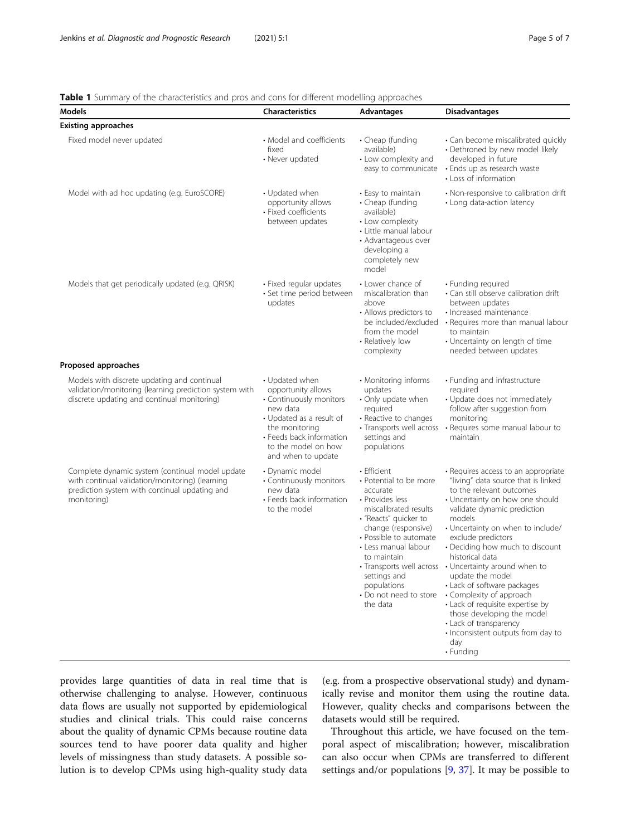## <span id="page-4-0"></span>**Table 1** Summary of the characteristics and pros and cons for different modelling approaches

| Models                                                                                                                                                             | <b>Characteristics</b>                                                                                                                                                                             | Advantages                                                                                                                                                                                                                                                                          | <b>Disadvantages</b>                                                                                                                                                                                                                                                                                                                                                                                                                                                                                                                                                                              |
|--------------------------------------------------------------------------------------------------------------------------------------------------------------------|----------------------------------------------------------------------------------------------------------------------------------------------------------------------------------------------------|-------------------------------------------------------------------------------------------------------------------------------------------------------------------------------------------------------------------------------------------------------------------------------------|---------------------------------------------------------------------------------------------------------------------------------------------------------------------------------------------------------------------------------------------------------------------------------------------------------------------------------------------------------------------------------------------------------------------------------------------------------------------------------------------------------------------------------------------------------------------------------------------------|
| <b>Existing approaches</b>                                                                                                                                         |                                                                                                                                                                                                    |                                                                                                                                                                                                                                                                                     |                                                                                                                                                                                                                                                                                                                                                                                                                                                                                                                                                                                                   |
| Fixed model never updated                                                                                                                                          | • Model and coefficients<br>fixed<br>• Never updated                                                                                                                                               | • Cheap (funding<br>available)<br>• Low complexity and<br>easy to communicate                                                                                                                                                                                                       | · Can become miscalibrated quickly<br>• Dethroned by new model likely<br>developed in future<br>• Ends up as research waste<br>• Loss of information                                                                                                                                                                                                                                                                                                                                                                                                                                              |
| Model with ad hoc updating (e.g. EuroSCORE)                                                                                                                        | • Updated when<br>opportunity allows<br>• Fixed coefficients<br>between updates                                                                                                                    | • Easy to maintain<br>• Cheap (funding<br>available)<br>• Low complexity<br>• Little manual labour<br>• Advantageous over<br>developing a<br>completely new<br>model                                                                                                                | • Non-responsive to calibration drift<br>• Long data-action latency                                                                                                                                                                                                                                                                                                                                                                                                                                                                                                                               |
| Models that get periodically updated (e.g. QRISK)                                                                                                                  | • Fixed regular updates<br>· Set time period between<br>updates                                                                                                                                    | • Lower chance of<br>miscalibration than<br>above<br>• Allows predictors to<br>be included/excluded<br>from the model<br>• Relatively low<br>complexity                                                                                                                             | • Funding required<br>• Can still observe calibration drift<br>between updates<br>· Increased maintenance<br>• Requires more than manual labour<br>to maintain<br>• Uncertainty on length of time<br>needed between updates                                                                                                                                                                                                                                                                                                                                                                       |
| Proposed approaches                                                                                                                                                |                                                                                                                                                                                                    |                                                                                                                                                                                                                                                                                     |                                                                                                                                                                                                                                                                                                                                                                                                                                                                                                                                                                                                   |
| Models with discrete updating and continual<br>validation/monitoring (learning prediction system with<br>discrete updating and continual monitoring)               | • Updated when<br>opportunity allows<br>• Continuously monitors<br>new data<br>• Updated as a result of<br>the monitoring<br>• Feeds back information<br>to the model on how<br>and when to update | • Monitoring informs<br>updates<br>• Only update when<br>required<br>• Reactive to changes<br>• Transports well across<br>settings and<br>populations                                                                                                                               | • Funding and infrastructure<br>required<br>• Update does not immediately<br>follow after suggestion from<br>monitoring<br>• Requires some manual labour to<br>maintain                                                                                                                                                                                                                                                                                                                                                                                                                           |
| Complete dynamic system (continual model update<br>with continual validation/monitoring) (learning<br>prediction system with continual updating and<br>monitoring) | • Dynamic model<br>• Continuously monitors<br>new data<br>• Feeds back information<br>to the model                                                                                                 | • Efficient<br>• Potential to be more<br>accurate<br>• Provides less<br>miscalibrated results<br>• "Reacts" quicker to<br>change (responsive)<br>• Possible to automate<br>• Less manual labour<br>to maintain<br>settings and<br>populations<br>• Do not need to store<br>the data | · Requires access to an appropriate<br>"living" data source that is linked<br>to the relevant outcomes<br>• Uncertainty on how one should<br>validate dynamic prediction<br>models<br>• Uncertainty on when to include/<br>exclude predictors<br>• Deciding how much to discount<br>historical data<br>• Transports well across • Uncertainty around when to<br>update the model<br>• Lack of software packages<br>• Complexity of approach<br>• Lack of requisite expertise by<br>those developing the model<br>• Lack of transparency<br>· Inconsistent outputs from day to<br>day<br>• Funding |

provides large quantities of data in real time that is otherwise challenging to analyse. However, continuous data flows are usually not supported by epidemiological studies and clinical trials. This could raise concerns about the quality of dynamic CPMs because routine data sources tend to have poorer data quality and higher levels of missingness than study datasets. A possible solution is to develop CPMs using high-quality study data (e.g. from a prospective observational study) and dynamically revise and monitor them using the routine data. However, quality checks and comparisons between the datasets would still be required.

Throughout this article, we have focused on the temporal aspect of miscalibration; however, miscalibration can also occur when CPMs are transferred to different settings and/or populations [[9,](#page-5-0) [37\]](#page-6-0). It may be possible to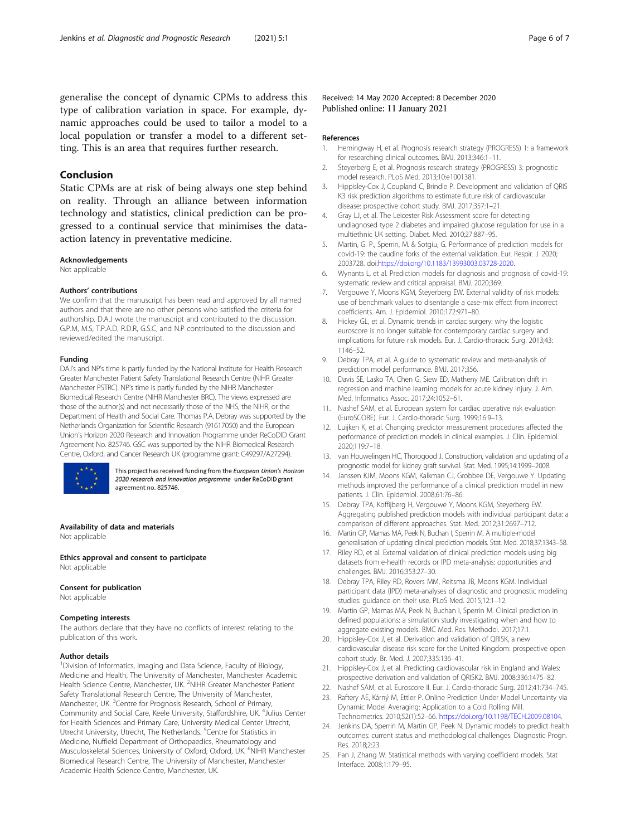<span id="page-5-0"></span>generalise the concept of dynamic CPMs to address this type of calibration variation in space. For example, dynamic approaches could be used to tailor a model to a local population or transfer a model to a different setting. This is an area that requires further research.

## Conclusion

Static CPMs are at risk of being always one step behind on reality. Through an alliance between information technology and statistics, clinical prediction can be progressed to a continual service that minimises the dataaction latency in preventative medicine.

#### Acknowledgements

Not applicable

#### Authors' contributions

We confirm that the manuscript has been read and approved by all named authors and that there are no other persons who satisfied the criteria for authorship. D.A.J wrote the manuscript and contributed to the discussion. G.P.M, M.S, T.P.A.D, R.D.R, G.S.C, and N.P contributed to the discussion and reviewed/edited the manuscript.

#### Funding

DAJ's and NP's time is partly funded by the National Institute for Health Research Greater Manchester Patient Safety Translational Research Centre (NIHR Greater Manchester PSTRC). NP's time is partly funded by the NIHR Manchester Biomedical Research Centre (NIHR Manchester BRC). The views expressed are those of the author(s) and not necessarily those of the NHS, the NIHR, or the Department of Health and Social Care. Thomas P.A. Debray was supported by the Netherlands Organization for Scientific Research (91617050) and the European Union's Horizon 2020 Research and Innovation Programme under ReCoDID Grant Agreement No. 825746. GSC was supported by the NIHR Biomedical Research Centre, Oxford, and Cancer Research UK (programme grant: C49297/A27294).



This project has received funding from the European Union's Horizon 2020 research and innovation programme under ReCoDID grant agreement no. 825746.

Availability of data and materials Not applicable

Ethics approval and consent to participate Not applicable

#### Consent for publication

Not applicable

#### Competing interests

The authors declare that they have no conflicts of interest relating to the publication of this work.

#### Author details

<sup>1</sup> Division of Informatics, Imaging and Data Science, Faculty of Biology, Medicine and Health, The University of Manchester, Manchester Academic Health Science Centre, Manchester, UK. <sup>2</sup>NIHR Greater Manchester Patient Safety Translational Research Centre, The University of Manchester, Manchester, UK. <sup>3</sup>Centre for Prognosis Research, School of Primary, Community and Social Care, Keele University, Staffordshire, UK. <sup>4</sup> Julius Center for Health Sciences and Primary Care, University Medical Center Utrecht, Utrecht University, Utrecht, The Netherlands. <sup>5</sup>Centre for Statistics in Medicine, Nuffield Department of Orthopaedics, Rheumatology and Musculoskeletal Sciences, University of Oxford, Oxford, UK. <sup>6</sup>NIHR Manchester Biomedical Research Centre, The University of Manchester, Manchester Academic Health Science Centre, Manchester, UK.

Received: 14 May 2020 Accepted: 8 December 2020 Published online: 11 January 2021

#### References

- 1. Hemingway H, et al. Prognosis research strategy (PROGRESS) 1: a framework for researching clinical outcomes. BMJ. 2013;346:1–11.
- 2. Steyerberg E, et al. Prognosis research strategy (PROGRESS) 3: prognostic model research. PLoS Med. 2013;10:e1001381.
- 3. Hippisley-Cox J, Coupland C, Brindle P. Development and validation of QRIS K3 risk prediction algorithms to estimate future risk of cardiovascular disease: prospective cohort study. BMJ. 2017;357:1–21.
- 4. Gray LJ, et al. The Leicester Risk Assessment score for detecting undiagnosed type 2 diabetes and impaired glucose regulation for use in a multiethnic UK setting. Diabet. Med. 2010;27:887–95.
- 5. Martin, G. P., Sperrin, M. & Sotgiu, G. Performance of prediction models for covid-19: the caudine forks of the external validation. Eur. Respir. J. 2020; 2003728. doi[:https://doi.org/10.1183/13993003.03728-2020.](https://doi.org/10.1183/13993003.03728-2020)
- 6. Wynants L, et al. Prediction models for diagnosis and prognosis of covid-19: systematic review and critical appraisal. BMJ. 2020;369.
- 7. Vergouwe Y, Moons KGM, Steyerberg EW. External validity of risk models: use of benchmark values to disentangle a case-mix effect from incorrect coefficients. Am. J. Epidemiol. 2010;172:971–80.
- 8. Hickey GL, et al. Dynamic trends in cardiac surgery: why the logistic euroscore is no longer suitable for contemporary cardiac surgery and implications for future risk models. Eur. J. Cardio-thoracic Surg. 2013;43: 1146–52.
- 9. Debray TPA, et al. A guide to systematic review and meta-analysis of prediction model performance. BMJ. 2017;356.
- 10. Davis SE, Lasko TA, Chen G, Siew ED, Matheny ME. Calibration drift in regression and machine learning models for acute kidney injury. J. Am. Med. Informatics Assoc. 2017;24:1052–61.
- 11. Nashef SAM, et al. European system for cardiac operative risk evaluation (EuroSCORE). Eur. J. Cardio-thoracic Surg. 1999;16:9–13.
- 12. Luijken K, et al. Changing predictor measurement procedures affected the performance of prediction models in clinical examples. J. Clin. Epidemiol. 2020;119:7–18.
- 13. van Houwelingen HC, Thorogood J. Construction, validation and updating of a prognostic model for kidney graft survival. Stat. Med. 1995;14:1999–2008.
- 14. Janssen KJM, Moons KGM, Kalkman CJ, Grobbee DE, Vergouwe Y. Updating methods improved the performance of a clinical prediction model in new patients. J. Clin. Epidemiol. 2008;61:76–86.
- 15. Debray TPA, Koffijberg H, Vergouwe Y, Moons KGM, Steyerberg EW. Aggregating published prediction models with individual participant data: a comparison of different approaches. Stat. Med. 2012;31:2697–712.
- 16. Martin GP, Mamas MA, Peek N, Buchan I, Sperrin M. A multiple-model generalisation of updating clinical prediction models. Stat. Med. 2018;37:1343–58.
- 17. Riley RD, et al. External validation of clinical prediction models using big datasets from e-health records or IPD meta-analysis: opportunities and challenges. BMJ. 2016;353:27–30.
- 18. Debray TPA, Riley RD, Rovers MM, Reitsma JB, Moons KGM. Individual participant data (IPD) meta-analyses of diagnostic and prognostic modeling studies: guidance on their use. PLoS Med. 2015;12:1–12.
- 19. Martin GP, Mamas MA, Peek N, Buchan I, Sperrin M. Clinical prediction in defined populations: a simulation study investigating when and how to aggregate existing models. BMC Med. Res. Methodol. 2017;17:1.
- 20. Hippisley-Cox J, et al. Derivation and validation of QRISK, a new cardiovascular disease risk score for the United Kingdom: prospective open cohort study. Br. Med. J. 2007;335:136–41.
- 21. Hippisley-Cox J, et al. Predicting cardiovascular risk in England and Wales: prospective derivation and validation of QRISK2. BMJ. 2008;336:1475–82.
- 22. Nashef SAM, et al. Euroscore II. Eur. J. Cardio-thoracic Surg. 2012;41:734–745.
- 23. Raftery AE, Kárný M, Ettler P. Online Prediction Under Model Uncertainty via Dynamic Model Averaging: Application to a Cold Rolling Mill. Technometrics. 2010;52(1):52–66. [https://doi.org/10.1198/TECH.2009.08104.](https://doi.org/10.1198/TECH.2009.08104)
- 24. Jenkins DA, Sperrin M, Martin GP, Peek N. Dynamic models to predict health outcomes: current status and methodological challenges. Diagnostic Progn. Res. 2018;2:23.
- 25. Fan J, Zhang W. Statistical methods with varying coefficient models. Stat Interface. 2008;1:179–95.